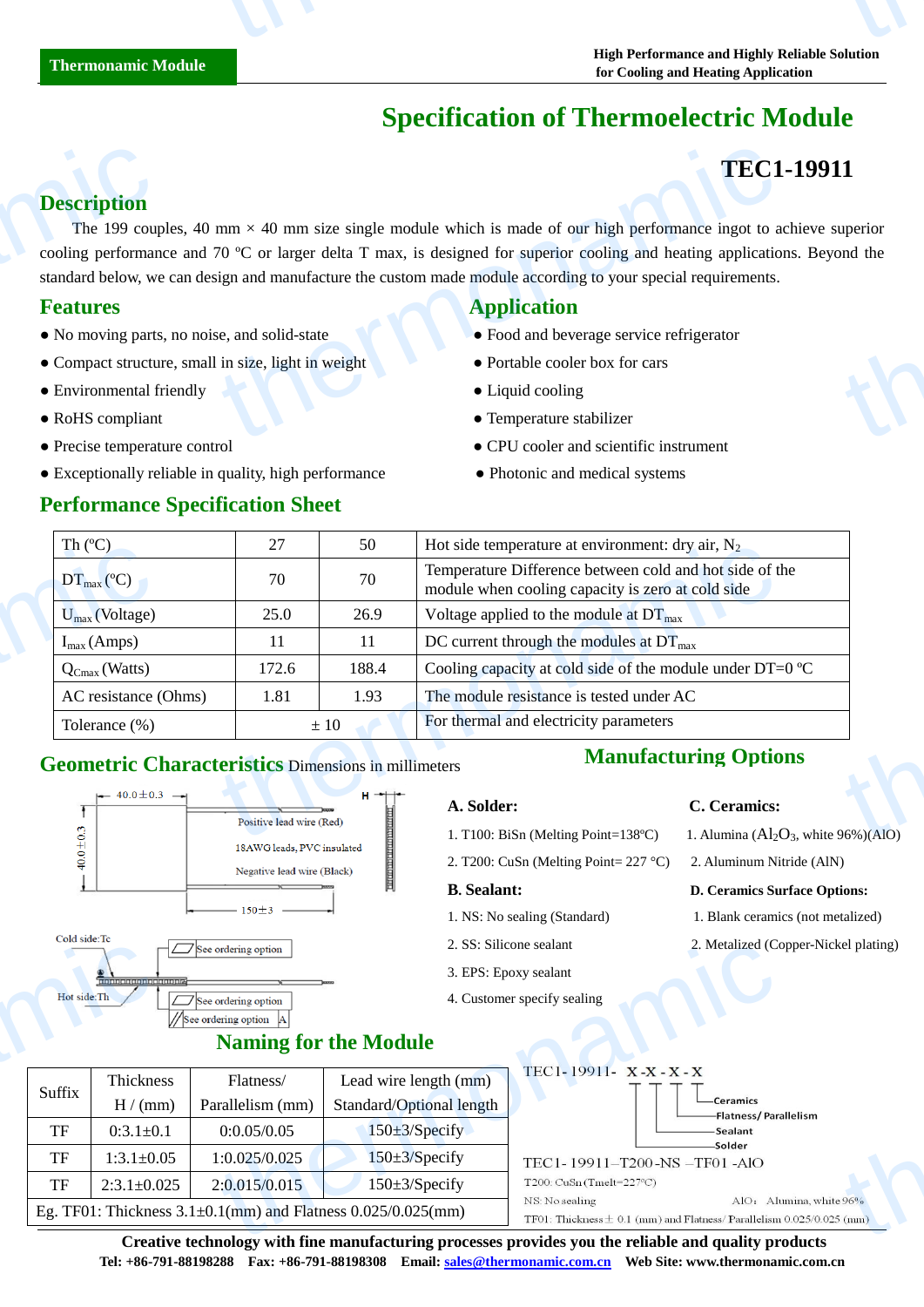# **Specification of Thermoelectric Module**

# **TEC1-19911**

## **Description**

The 199 couples, 40 mm  $\times$  40 mm size single module which is made of our high performance ingot to achieve superior cooling performance and 70 °C or larger delta T max, is designed for superior cooling and heating applications. Beyond the standard below, we can design and manufacture the custom made module according to your special requirements. **Description**<br>The 199 coup<br>cooling performan<br>standard below, we<br>**Features**<br>• No moving parts<br>• Compact structu<br>• Environmental f **TEC1**<br>
mm  $\times$  40 mm size single module which is made of our high performance ingot to a<br>
70 C or larger delta T max, is designed for superior cooling and heating application<br>
se, and solid-state<br>
is size, light in weigh thermonator of the control of the control of the control of the control of the control of the control of the control of the control of the control of the control of the control of the control of the control of the control

- No moving parts, no noise, and solid-state <br>• Food and beverage service refrigerator
- Compact structure, small in size, light in weight Portable cooler box for cars
- Environmental friendly **Cooling Liquid cooling**
- 
- 
- Exceptionally reliable in quality, high performance Photonic and medical systems

### **Performance Specification Sheet**

# **Features** Application **Application**

- 
- 
- 
- RoHS compliant Temperature stabilizer
- Precise temperature control CPU cooler and scientific instrument
	-

| Th $(C)$                                                   | 27                       | 50                  | Hot side temperature at environment: dry air, $N_2$                                                          |  |
|------------------------------------------------------------|--------------------------|---------------------|--------------------------------------------------------------------------------------------------------------|--|
| $DT_{\text{max}}(\mathbb{C})$                              | 70                       | 70                  | Temperature Difference between cold and hot side of the<br>module when cooling capacity is zero at cold side |  |
| $U_{\text{max}}$ (Voltage)                                 | 25.0                     | 26.9                | Voltage applied to the module at $DT_{\text{max}}$                                                           |  |
| $I_{max}(Amps)$                                            |                          |                     | DC current through the modules at $DT_{\text{max}}$                                                          |  |
| $Q_{Cmax}$ (Watts)                                         | 172.6                    | 188.4               | Cooling capacity at cold side of the module under DT=0 $\mathbb{C}$                                          |  |
| AC resistance (Ohms)                                       | 1.81                     | 1.93                | The module resistance is tested under AC                                                                     |  |
| Tolerance (%)                                              |                          | $\pm 10$            | For thermal and electricity parameters                                                                       |  |
| <b>Geometric Characteristics Dimensions in millimeters</b> |                          |                     | <b>Manufacturing Options</b>                                                                                 |  |
| $\leftarrow$ 40.0 ± 0.3 $\rightarrow$                      |                          | $H \rightarrow + +$ | A. Solder:<br>C. Ceramics:                                                                                   |  |
| $\circ$                                                    | Positive lead wire (Red) |                     | 1. Alumina $(Al_2O_3$ , white 96%)(AlO)<br>1. T100: BiSn (Melting Point=138 $\mathbb{C}$ )                   |  |

### **Geometric Characteristics** Dimensions in millimeters



# **Manufacturing Options**

- 
- 
- 3. EPS: Epoxy sealant
- 4. Customer specify sealing

#### **A. Solder: C. Ceramics:**

- 1. T100: BiSn (Melting Point=138 °C) 1. Alumina ( $Al_2O_3$ , white 96%)(AlO)
- 2. T200: CuSn (Melting Point=  $227 \text{ C}$ ) 2. Aluminum Nitride (AlN)

#### **B. Sealant: D. Ceramics Surface Options:**

- 1. NS: No sealing (Standard) 1. Blank ceramics (not metalized)
- 2. SS: Silicone sealant 2. Metalized (Copper-Nickel plating)





**Creative technology with fine manufacturing processes provides you the reliable and quality products Tel: +86-791-88198288 Fax: +86-791-88198308 Email: sales@thermonamic.com.cn Web Site: www.thermonamic.com.cn**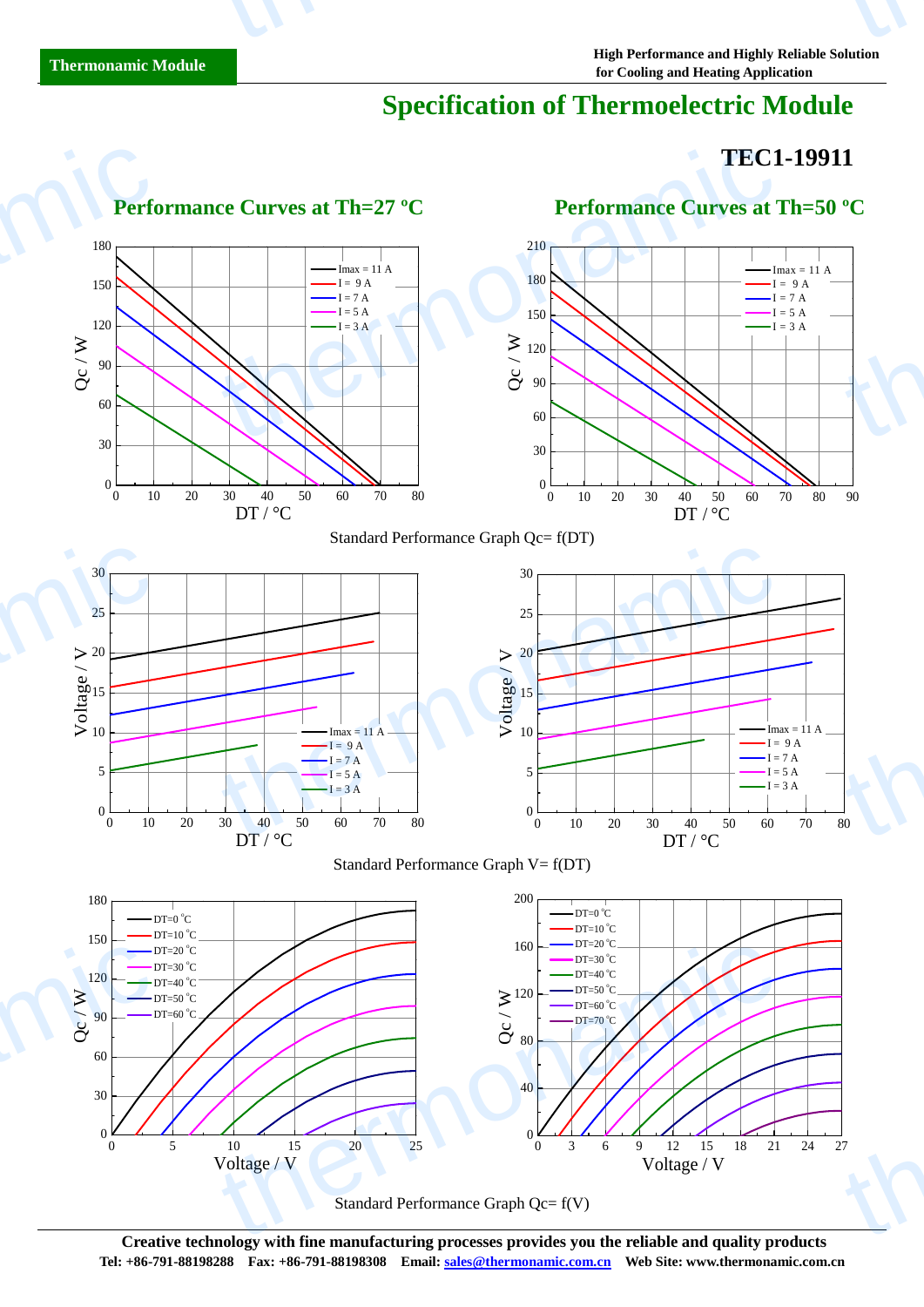# **Specification of Thermoelectric Module**

# **TEC1-19911**



Standard Performance Graph Qc= f(V)

**Creative technology with fine manufacturing processes provides you the reliable and quality products Tel: +86-791-88198288 Fax: +86-791-88198308 Email: sales@thermonamic.com.cn Web Site: www.thermonamic.com.cn**